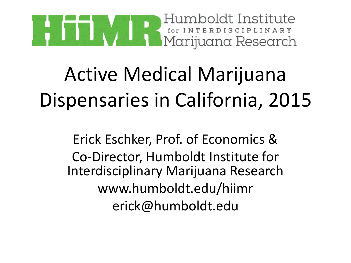

Erick Eschker, Prof. of Economics & Co-Director, Humboldt Institute for Interdisciplinary Marijuana Research www.humboldt.edu/hiimr erick@humboldt.edu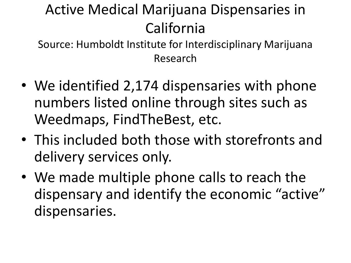- We identified 2,174 dispensaries with phone numbers listed online through sites such as Weedmaps, FindTheBest, etc.
- This included both those with storefronts and delivery services only.
- We made multiple phone calls to reach the dispensary and identify the economic "active" dispensaries.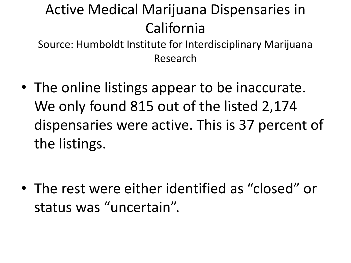Source: Humboldt Institute for Interdisciplinary Marijuana Research

• The online listings appear to be inaccurate. We only found 815 out of the listed 2,174 dispensaries were active. This is 37 percent of the listings.

• The rest were either identified as "closed" or status was "uncertain".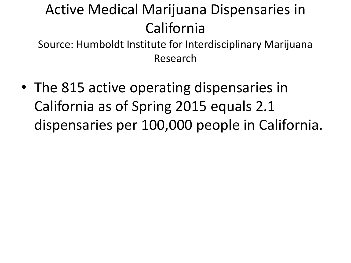Source: Humboldt Institute for Interdisciplinary Marijuana Research

• The 815 active operating dispensaries in California as of Spring 2015 equals 2.1 dispensaries per 100,000 people in California.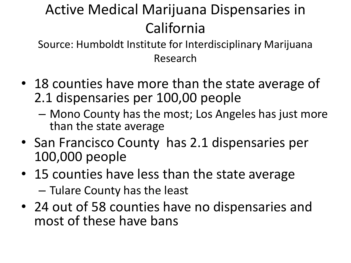- 18 counties have more than the state average of 2.1 dispensaries per 100,00 people
	- Mono County has the most; Los Angeles has just more than the state average
- San Francisco County has 2.1 dispensaries per 100,000 people
- 15 counties have less than the state average – Tulare County has the least
- 24 out of 58 counties have no dispensaries and most of these have bans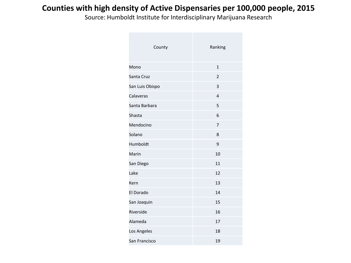#### **Counties with high density of Active Dispensaries per 100,000 people, 2015**

| County          | Ranking        |
|-----------------|----------------|
| Mono            | $\mathbf{1}$   |
| Santa Cruz      | $\overline{2}$ |
| San Luis Obispo | 3              |
| Calaveras       | $\overline{4}$ |
| Santa Barbara   | 5              |
| Shasta          | 6              |
| Mendocino       | 7              |
| Solano          | 8              |
| Humboldt        | 9              |
| Marin           | 10             |
| San Diego       | 11             |
| Lake            | 12             |
| Kern            | 13             |
| El Dorado       | 14             |
| San Joaquin     | 15             |
| Riverside       | 16             |
| Alameda         | 17             |
| Los Angeles     | 18             |
| San Francisco   | 19             |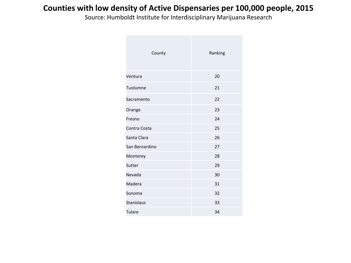#### **Counties with low density of Active Dispensaries per 100,000 people, 2015**

| County            | Ranking |
|-------------------|---------|
| Ventura           | 20      |
| Tuolumne          | 21      |
| Sacramento        | 22      |
| Orange            | 23      |
| Fresno            | 24      |
| Contra Costa      | 25      |
| Santa Clara       | 26      |
| San Bernardino    | 27      |
| Monterey          | 28      |
| Sutter            | 29      |
| Nevada            | 30      |
| Madera            | 31      |
| Sonoma            | 32      |
| <b>Stanislaus</b> | 33      |
| Tulare            | 34      |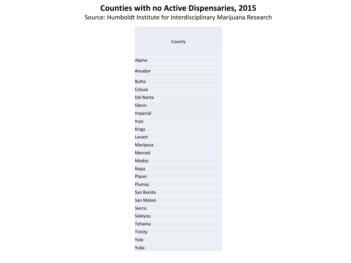#### **Counties with no Active Dispensaries, 2015**

|                  | County |  |
|------------------|--------|--|
|                  |        |  |
| Alpine           |        |  |
| Amador           |        |  |
| <b>Butte</b>     |        |  |
| Colusa           |        |  |
| <b>Del Norte</b> |        |  |
| Glenn            |        |  |
| Imperial         |        |  |
| Inyo             |        |  |
| Kings            |        |  |
| Lassen           |        |  |
| Mariposa         |        |  |
| Merced           |        |  |
| Modoc            |        |  |
| Napa             |        |  |
| Placer           |        |  |
| Plumas           |        |  |
| San Benito       |        |  |
| San Mateo        |        |  |
| Sierra           |        |  |
| Siskiyou         |        |  |
| Tehama           |        |  |
| Trinity          |        |  |
| Yolo             |        |  |
| Yuba             |        |  |